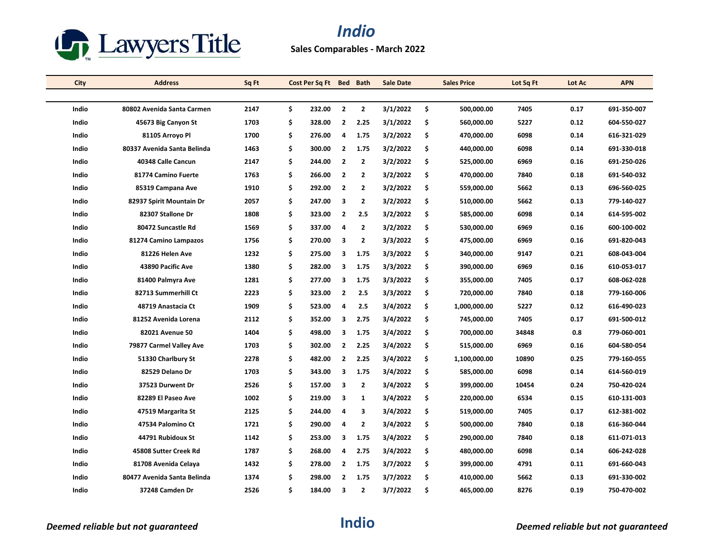

| City  | <b>Address</b>              | Sq Ft | Cost Per Sq Ft Bed Bath |                |              | <b>Sale Date</b> | <b>Sales Price</b> | Lot Sq Ft | Lot Ac | <b>APN</b>  |
|-------|-----------------------------|-------|-------------------------|----------------|--------------|------------------|--------------------|-----------|--------|-------------|
|       |                             |       |                         |                |              |                  |                    |           |        |             |
| Indio | 80802 Avenida Santa Carmen  | 2147  | \$<br>232.00            | $\overline{2}$ | $\mathbf{2}$ | 3/1/2022         | \$<br>500,000.00   | 7405      | 0.17   | 691-350-007 |
| Indio | 45673 Big Canyon St         | 1703  | \$<br>328.00            | $\mathbf{2}$   | 2.25         | 3/1/2022         | \$<br>560,000.00   | 5227      | 0.12   | 604-550-027 |
| Indio | 81105 Arroyo Pl             | 1700  | \$<br>276.00            | 4              | 1.75         | 3/2/2022         | \$<br>470,000.00   | 6098      | 0.14   | 616-321-029 |
| Indio | 80337 Avenida Santa Belinda | 1463  | \$<br>300.00            | $\overline{2}$ | 1.75         | 3/2/2022         | \$<br>440,000.00   | 6098      | 0.14   | 691-330-018 |
| Indio | 40348 Calle Cancun          | 2147  | \$<br>244.00            | $\overline{2}$ | $\mathbf{2}$ | 3/2/2022         | \$<br>525,000.00   | 6969      | 0.16   | 691-250-026 |
| Indio | 81774 Camino Fuerte         | 1763  | \$<br>266.00            | $\overline{2}$ | $\mathbf{2}$ | 3/2/2022         | \$<br>470,000.00   | 7840      | 0.18   | 691-540-032 |
| Indio | 85319 Campana Ave           | 1910  | \$<br>292.00            | $\overline{2}$ | 2            | 3/2/2022         | \$<br>559,000.00   | 5662      | 0.13   | 696-560-025 |
| Indio | 82937 Spirit Mountain Dr    | 2057  | \$<br>247.00            | 3              | $\mathbf{2}$ | 3/2/2022         | \$<br>510,000.00   | 5662      | 0.13   | 779-140-027 |
| Indio | 82307 Stallone Dr           | 1808  | \$<br>323.00            | $\overline{2}$ | 2.5          | 3/2/2022         | \$<br>585,000.00   | 6098      | 0.14   | 614-595-002 |
| Indio | 80472 Suncastle Rd          | 1569  | \$<br>337.00            | 4              | 2            | 3/2/2022         | \$<br>530,000.00   | 6969      | 0.16   | 600-100-002 |
| Indio | 81274 Camino Lampazos       | 1756  | \$<br>270.00            | 3              | $\mathbf{2}$ | 3/3/2022         | \$<br>475,000.00   | 6969      | 0.16   | 691-820-043 |
| Indio | 81226 Helen Ave             | 1232  | \$<br>275.00            | 3              | 1.75         | 3/3/2022         | \$<br>340,000.00   | 9147      | 0.21   | 608-043-004 |
| Indio | 43890 Pacific Ave           | 1380  | \$<br>282.00            | 3              | 1.75         | 3/3/2022         | \$<br>390,000.00   | 6969      | 0.16   | 610-053-017 |
| Indio | 81400 Palmyra Ave           | 1281  | \$<br>277.00            | 3              | 1.75         | 3/3/2022         | \$<br>355,000.00   | 7405      | 0.17   | 608-062-028 |
| Indio | 82713 Summerhill Ct         | 2223  | \$<br>323.00            | $\overline{2}$ | 2.5          | 3/3/2022         | \$<br>720,000.00   | 7840      | 0.18   | 779-160-006 |
| Indio | 48719 Anastacia Ct          | 1909  | \$<br>523.00            | 4              | 2.5          | 3/4/2022         | \$<br>1,000,000.00 | 5227      | 0.12   | 616-490-023 |
| Indio | 81252 Avenida Lorena        | 2112  | \$<br>352.00            | 3              | 2.75         | 3/4/2022         | \$<br>745,000.00   | 7405      | 0.17   | 691-500-012 |
| Indio | 82021 Avenue 50             | 1404  | \$<br>498.00            | 3              | 1.75         | 3/4/2022         | \$<br>700,000.00   | 34848     | 0.8    | 779-060-001 |
| Indio | 79877 Carmel Valley Ave     | 1703  | \$<br>302.00            | $\overline{2}$ | 2.25         | 3/4/2022         | \$<br>515,000.00   | 6969      | 0.16   | 604-580-054 |
| Indio | 51330 Charlbury St          | 2278  | \$<br>482.00            | $\mathbf{2}$   | 2.25         | 3/4/2022         | \$<br>1,100,000.00 | 10890     | 0.25   | 779-160-055 |
| Indio | 82529 Delano Dr             | 1703  | \$<br>343.00            | 3              | 1.75         | 3/4/2022         | \$<br>585,000.00   | 6098      | 0.14   | 614-560-019 |
| Indio | 37523 Durwent Dr            | 2526  | \$<br>157.00            | 3              | 2            | 3/4/2022         | \$<br>399,000.00   | 10454     | 0.24   | 750-420-024 |
| Indio | 82289 El Paseo Ave          | 1002  | \$<br>219.00            | 3              | $\mathbf{1}$ | 3/4/2022         | \$<br>220,000.00   | 6534      | 0.15   | 610-131-003 |
| Indio | 47519 Margarita St          | 2125  | \$<br>244.00            | 4              | 3            | 3/4/2022         | \$<br>519,000.00   | 7405      | 0.17   | 612-381-002 |
| Indio | 47534 Palomino Ct           | 1721  | \$<br>290.00            | 4              | $\mathbf{2}$ | 3/4/2022         | \$<br>500,000.00   | 7840      | 0.18   | 616-360-044 |
| Indio | 44791 Rubidoux St           | 1142  | \$<br>253.00            | 3              | 1.75         | 3/4/2022         | \$<br>290,000.00   | 7840      | 0.18   | 611-071-013 |
| Indio | 45808 Sutter Creek Rd       | 1787  | \$<br>268.00            | 4              | 2.75         | 3/4/2022         | \$<br>480,000.00   | 6098      | 0.14   | 606-242-028 |
| Indio | 81708 Avenida Celaya        | 1432  | \$<br>278.00            | $\overline{2}$ | 1.75         | 3/7/2022         | \$<br>399,000.00   | 4791      | 0.11   | 691-660-043 |
| Indio | 80477 Avenida Santa Belinda | 1374  | \$<br>298.00            | $\mathbf{2}$   | 1.75         | 3/7/2022         | \$<br>410,000.00   | 5662      | 0.13   | 691-330-002 |
| Indio | 37248 Camden Dr             | 2526  | \$<br>184.00            | 3              | 2            | 3/7/2022         | \$<br>465,000.00   | 8276      | 0.19   | 750-470-002 |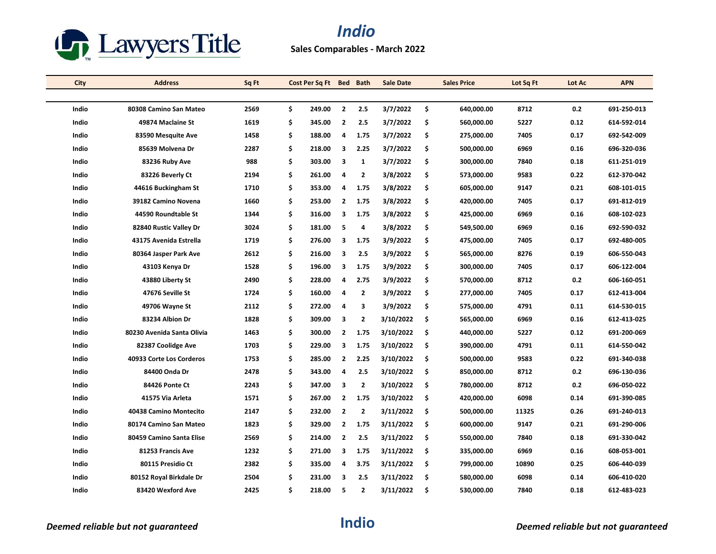

| <b>City</b> | <b>Address</b>             | Sq Ft | Cost Per Sq Ft Bed |                | <b>Bath</b>    | <b>Sale Date</b> |     | <b>Sales Price</b> | Lot Sq Ft | Lot Ac | <b>APN</b>  |
|-------------|----------------------------|-------|--------------------|----------------|----------------|------------------|-----|--------------------|-----------|--------|-------------|
|             |                            |       |                    |                |                |                  |     |                    |           |        |             |
| Indio       | 80308 Camino San Mateo     | 2569  | \$<br>249.00       | $\overline{2}$ | 2.5            | 3/7/2022         | \$  | 640,000.00         | 8712      | 0.2    | 691-250-013 |
| Indio       | 49874 Maclaine St          | 1619  | \$<br>345.00       | $\overline{2}$ | 2.5            | 3/7/2022         | \$  | 560,000.00         | 5227      | 0.12   | 614-592-014 |
| Indio       | 83590 Mesquite Ave         | 1458  | \$<br>188.00       | 4              | 1.75           | 3/7/2022         | \$  | 275,000.00         | 7405      | 0.17   | 692-542-009 |
| Indio       | 85639 Molvena Dr           | 2287  | \$<br>218.00       | 3              | 2.25           | 3/7/2022         | \$  | 500,000.00         | 6969      | 0.16   | 696-320-036 |
| Indio       | 83236 Ruby Ave             | 988   | \$<br>303.00       | 3              | $\mathbf{1}$   | 3/7/2022         | \$  | 300,000.00         | 7840      | 0.18   | 611-251-019 |
| Indio       | 83226 Beverly Ct           | 2194  | \$<br>261.00       | 4              | $\mathbf{2}$   | 3/8/2022         | \$  | 573,000.00         | 9583      | 0.22   | 612-370-042 |
| Indio       | 44616 Buckingham St        | 1710  | \$<br>353.00       | 4              | 1.75           | 3/8/2022         | \$  | 605,000.00         | 9147      | 0.21   | 608-101-015 |
| Indio       | 39182 Camino Novena        | 1660  | \$<br>253.00       | $\overline{2}$ | 1.75           | 3/8/2022         | \$  | 420,000.00         | 7405      | 0.17   | 691-812-019 |
| Indio       | 44590 Roundtable St        | 1344  | \$<br>316.00       | 3              | 1.75           | 3/8/2022         | \$  | 425,000.00         | 6969      | 0.16   | 608-102-023 |
| Indio       | 82840 Rustic Valley Dr     | 3024  | \$<br>181.00       | 5              | 4              | 3/8/2022         | \$  | 549,500.00         | 6969      | 0.16   | 692-590-032 |
| Indio       | 43175 Avenida Estrella     | 1719  | \$<br>276.00       | 3              | 1.75           | 3/9/2022         | \$  | 475,000.00         | 7405      | 0.17   | 692-480-005 |
| Indio       | 80364 Jasper Park Ave      | 2612  | \$<br>216.00       | 3              | 2.5            | 3/9/2022         | \$  | 565,000.00         | 8276      | 0.19   | 606-550-043 |
| Indio       | 43103 Kenya Dr             | 1528  | \$<br>196.00       | 3              | 1.75           | 3/9/2022         | \$  | 300,000.00         | 7405      | 0.17   | 606-122-004 |
| Indio       | 43880 Liberty St           | 2490  | \$<br>228.00       | 4              | 2.75           | 3/9/2022         | \$  | 570,000.00         | 8712      | 0.2    | 606-160-051 |
| Indio       | 47676 Seville St           | 1724  | \$<br>160.00       | $\overline{4}$ | $\overline{2}$ | 3/9/2022         | \$  | 277,000.00         | 7405      | 0.17   | 612-413-004 |
| Indio       | 49706 Wayne St             | 2112  | \$<br>272.00       | 4              | 3              | 3/9/2022         | \$  | 575,000.00         | 4791      | 0.11   | 614-530-015 |
| Indio       | 83234 Albion Dr            | 1828  | \$<br>309.00       | 3              | $\mathbf{2}$   | 3/10/2022        | \$  | 565,000.00         | 6969      | 0.16   | 612-413-025 |
| Indio       | 80230 Avenida Santa Olivia | 1463  | \$<br>300.00       | $\overline{2}$ | 1.75           | 3/10/2022        | -\$ | 440,000.00         | 5227      | 0.12   | 691-200-069 |
| Indio       | 82387 Coolidge Ave         | 1703  | \$<br>229.00       | 3              | 1.75           | 3/10/2022        | \$  | 390,000.00         | 4791      | 0.11   | 614-550-042 |
| Indio       | 40933 Corte Los Corderos   | 1753  | \$<br>285.00       | $\overline{2}$ | 2.25           | 3/10/2022        | \$  | 500,000.00         | 9583      | 0.22   | 691-340-038 |
| Indio       | 84400 Onda Dr              | 2478  | \$<br>343.00       | 4              | 2.5            | 3/10/2022        | -\$ | 850,000.00         | 8712      | 0.2    | 696-130-036 |
| Indio       | 84426 Ponte Ct             | 2243  | \$<br>347.00       | 3              | $\mathbf{2}$   | 3/10/2022        | \$  | 780,000.00         | 8712      | 0.2    | 696-050-022 |
| Indio       | 41575 Via Arleta           | 1571  | \$<br>267.00       | $\overline{2}$ | 1.75           | 3/10/2022        | \$  | 420,000.00         | 6098      | 0.14   | 691-390-085 |
| Indio       | 40438 Camino Montecito     | 2147  | \$<br>232.00       | $\overline{2}$ | $\overline{2}$ | 3/11/2022        | -\$ | 500,000.00         | 11325     | 0.26   | 691-240-013 |
| Indio       | 80174 Camino San Mateo     | 1823  | \$<br>329.00       | $\mathbf{2}$   | 1.75           | 3/11/2022        | \$  | 600,000.00         | 9147      | 0.21   | 691-290-006 |
| Indio       | 80459 Camino Santa Elise   | 2569  | \$<br>214.00       | $\overline{2}$ | 2.5            | 3/11/2022        | \$  | 550,000.00         | 7840      | 0.18   | 691-330-042 |
| Indio       | 81253 Francis Ave          | 1232  | \$<br>271.00       | 3              | 1.75           | 3/11/2022        | -\$ | 335,000.00         | 6969      | 0.16   | 608-053-001 |
| Indio       | 80115 Presidio Ct          | 2382  | \$<br>335.00       | 4              | 3.75           | 3/11/2022        | -\$ | 799,000.00         | 10890     | 0.25   | 606-440-039 |
| Indio       | 80152 Royal Birkdale Dr    | 2504  | \$<br>231.00       | 3              | 2.5            | 3/11/2022        | \$  | 580,000.00         | 6098      | 0.14   | 606-410-020 |
| Indio       | 83420 Wexford Ave          | 2425  | \$<br>218.00       | 5              | $\overline{2}$ | 3/11/2022        | \$. | 530,000.00         | 7840      | 0.18   | 612-483-023 |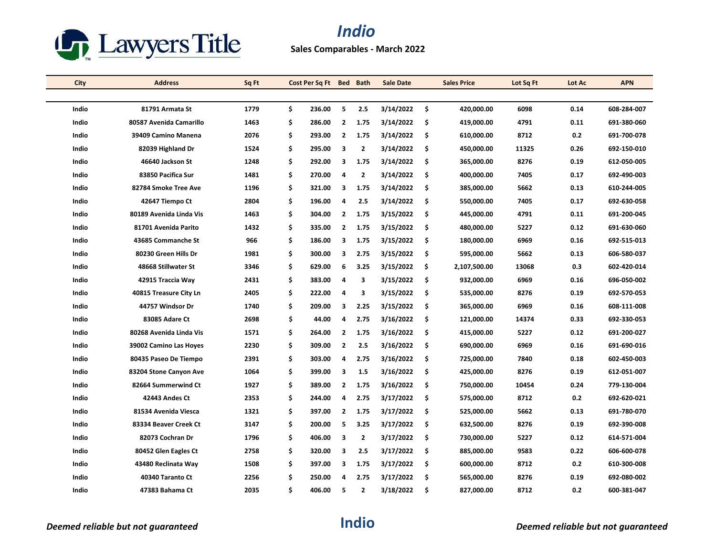

| City  | <b>Address</b>          | Sq Ft | Cost Per Sq Ft Bed Bath |                |              | <b>Sale Date</b> |     | <b>Sales Price</b> | Lot Sq Ft | Lot Ac | <b>APN</b>  |
|-------|-------------------------|-------|-------------------------|----------------|--------------|------------------|-----|--------------------|-----------|--------|-------------|
|       |                         |       |                         |                |              |                  |     |                    |           |        |             |
| Indio | 81791 Armata St         | 1779  | \$<br>236.00            | 5              | 2.5          | 3/14/2022        | -\$ | 420,000.00         | 6098      | 0.14   | 608-284-007 |
| Indio | 80587 Avenida Camarillo | 1463  | \$<br>286.00            | $\overline{2}$ | 1.75         | 3/14/2022        | \$  | 419,000.00         | 4791      | 0.11   | 691-380-060 |
| Indio | 39409 Camino Manena     | 2076  | \$<br>293.00            | $\overline{2}$ | 1.75         | 3/14/2022        | -\$ | 610,000.00         | 8712      | 0.2    | 691-700-078 |
| Indio | 82039 Highland Dr       | 1524  | \$<br>295.00            | 3              | $\mathbf{2}$ | 3/14/2022        | \$  | 450,000.00         | 11325     | 0.26   | 692-150-010 |
| Indio | 46640 Jackson St        | 1248  | \$<br>292.00            | 3              | 1.75         | 3/14/2022        | \$. | 365,000.00         | 8276      | 0.19   | 612-050-005 |
| Indio | 83850 Pacifica Sur      | 1481  | \$<br>270.00            | 4              | $\mathbf{2}$ | 3/14/2022        | -\$ | 400,000.00         | 7405      | 0.17   | 692-490-003 |
| Indio | 82784 Smoke Tree Ave    | 1196  | \$<br>321.00            | 3              | 1.75         | 3/14/2022        | \$. | 385,000.00         | 5662      | 0.13   | 610-244-005 |
| Indio | 42647 Tiempo Ct         | 2804  | \$<br>196.00            | 4              | 2.5          | 3/14/2022        | \$  | 550,000.00         | 7405      | 0.17   | 692-630-058 |
| Indio | 80189 Avenida Linda Vis | 1463  | \$<br>304.00            | $\overline{2}$ | 1.75         | 3/15/2022        | -\$ | 445,000.00         | 4791      | 0.11   | 691-200-045 |
| Indio | 81701 Avenida Parito    | 1432  | \$<br>335.00            | $\mathbf{2}$   | 1.75         | 3/15/2022        | -\$ | 480,000.00         | 5227      | 0.12   | 691-630-060 |
| Indio | 43685 Commanche St      | 966   | \$<br>186.00            | 3              | 1.75         | 3/15/2022        | \$  | 180,000.00         | 6969      | 0.16   | 692-515-013 |
| Indio | 80230 Green Hills Dr    | 1981  | \$<br>300.00            | 3              | 2.75         | 3/15/2022        | -\$ | 595,000.00         | 5662      | 0.13   | 606-580-037 |
| Indio | 48668 Stillwater St     | 3346  | \$<br>629.00            | 6              | 3.25         | 3/15/2022        | \$  | 2,107,500.00       | 13068     | 0.3    | 602-420-014 |
| Indio | 42915 Traccia Way       | 2431  | \$<br>383.00            | 4              | 3            | 3/15/2022        | \$  | 932,000.00         | 6969      | 0.16   | 696-050-002 |
| Indio | 40815 Treasure City Ln  | 2405  | \$<br>222.00            | 4              | 3            | 3/15/2022        | -\$ | 535,000.00         | 8276      | 0.19   | 692-570-053 |
| Indio | 44757 Windsor Dr        | 1740  | \$<br>209.00            | 3              | 2.25         | 3/15/2022        | \$  | 365,000.00         | 6969      | 0.16   | 608-111-008 |
| Indio | 83085 Adare Ct          | 2698  | \$<br>44.00             | 4              | 2.75         | 3/16/2022        | \$  | 121,000.00         | 14374     | 0.33   | 692-330-053 |
| Indio | 80268 Avenida Linda Vis | 1571  | \$<br>264.00            | $\overline{2}$ | 1.75         | 3/16/2022        | -\$ | 415,000.00         | 5227      | 0.12   | 691-200-027 |
| Indio | 39002 Camino Las Hoyes  | 2230  | \$<br>309.00            | $\mathbf{2}$   | 2.5          | 3/16/2022        | \$  | 690,000.00         | 6969      | 0.16   | 691-690-016 |
| Indio | 80435 Paseo De Tiempo   | 2391  | \$<br>303.00            | 4              | 2.75         | 3/16/2022        | \$  | 725,000.00         | 7840      | 0.18   | 602-450-003 |
| Indio | 83204 Stone Canyon Ave  | 1064  | \$<br>399.00            | 3              | 1.5          | 3/16/2022        | -\$ | 425,000.00         | 8276      | 0.19   | 612-051-007 |
| Indio | 82664 Summerwind Ct     | 1927  | \$<br>389.00            | $\overline{2}$ | 1.75         | 3/16/2022        | -\$ | 750,000.00         | 10454     | 0.24   | 779-130-004 |
| Indio | 42443 Andes Ct          | 2353  | \$<br>244.00            | 4              | 2.75         | 3/17/2022        | \$  | 575,000.00         | 8712      | 0.2    | 692-620-021 |
| Indio | 81534 Avenida Viesca    | 1321  | \$<br>397.00            | $\overline{2}$ | 1.75         | 3/17/2022        | -\$ | 525,000.00         | 5662      | 0.13   | 691-780-070 |
| Indio | 83334 Beaver Creek Ct   | 3147  | \$<br>200.00            | 5              | 3.25         | 3/17/2022        | \$  | 632,500.00         | 8276      | 0.19   | 692-390-008 |
| Indio | 82073 Cochran Dr        | 1796  | \$<br>406.00            | 3              | 2            | 3/17/2022        | \$  | 730,000.00         | 5227      | 0.12   | 614-571-004 |
| Indio | 80452 Glen Eagles Ct    | 2758  | \$<br>320.00            | 3              | 2.5          | 3/17/2022        | -\$ | 885,000.00         | 9583      | 0.22   | 606-600-078 |
| Indio | 43480 Reclinata Way     | 1508  | \$<br>397.00            | 3              | 1.75         | 3/17/2022        | -\$ | 600,000.00         | 8712      | 0.2    | 610-300-008 |
| Indio | 40340 Taranto Ct        | 2256  | \$<br>250.00            | 4              | 2.75         | 3/17/2022        | \$  | 565,000.00         | 8276      | 0.19   | 692-080-002 |
| Indio | 47383 Bahama Ct         | 2035  | \$<br>406.00            | 5              | 2            | 3/18/2022        | Ŝ.  | 827,000.00         | 8712      | 0.2    | 600-381-047 |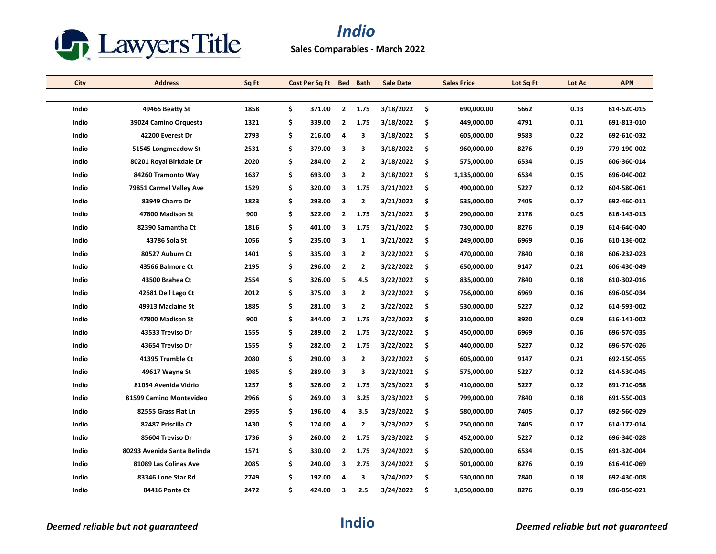

**Sales Comparables - March 2022**

| <b>City</b>  | <b>Address</b>              | Sq Ft | Cost Per Sq Ft Bed Bath |                         |                | <b>Sale Date</b> |     | <b>Sales Price</b> | Lot Sq Ft | Lot Ac | <b>APN</b>  |
|--------------|-----------------------------|-------|-------------------------|-------------------------|----------------|------------------|-----|--------------------|-----------|--------|-------------|
|              |                             |       |                         |                         |                |                  |     |                    |           |        |             |
| Indio        | 49465 Beatty St             | 1858  | \$<br>371.00            | $\overline{2}$          | 1.75           | 3/18/2022        | \$  | 690,000.00         | 5662      | 0.13   | 614-520-015 |
| Indio        | 39024 Camino Orguesta       | 1321  | \$<br>339.00            | $\overline{2}$          | 1.75           | 3/18/2022        | \$  | 449,000.00         | 4791      | 0.11   | 691-813-010 |
| Indio        | 42200 Everest Dr            | 2793  | \$<br>216.00            | 4                       | 3              | 3/18/2022        | \$  | 605,000.00         | 9583      | 0.22   | 692-610-032 |
| Indio        | 51545 Longmeadow St         | 2531  | \$<br>379.00            | 3                       | 3              | 3/18/2022        | \$  | 960,000.00         | 8276      | 0.19   | 779-190-002 |
| Indio        | 80201 Royal Birkdale Dr     | 2020  | \$<br>284.00            | $\overline{2}$          | $\overline{2}$ | 3/18/2022        | \$  | 575,000.00         | 6534      | 0.15   | 606-360-014 |
| Indio        | 84260 Tramonto Way          | 1637  | \$<br>693.00            | 3                       | $\mathbf{2}$   | 3/18/2022        | \$  | 1,135,000.00       | 6534      | 0.15   | 696-040-002 |
| Indio        | 79851 Carmel Valley Ave     | 1529  | \$<br>320.00            | 3                       | 1.75           | 3/21/2022        | \$  | 490,000.00         | 5227      | 0.12   | 604-580-061 |
| Indio        | 83949 Charro Dr             | 1823  | \$<br>293.00            | 3                       | $\overline{2}$ | 3/21/2022        | \$  | 535,000.00         | 7405      | 0.17   | 692-460-011 |
| Indio        | 47800 Madison St            | 900   | \$<br>322.00            | $\overline{2}$          | 1.75           | 3/21/2022        | \$  | 290,000.00         | 2178      | 0.05   | 616-143-013 |
| Indio        | 82390 Samantha Ct           | 1816  | \$<br>401.00            | 3                       | 1.75           | 3/21/2022        | \$  | 730,000.00         | 8276      | 0.19   | 614-640-040 |
| Indio        | 43786 Sola St               | 1056  | \$<br>235.00            | 3                       | $\mathbf{1}$   | 3/21/2022        | \$  | 249,000.00         | 6969      | 0.16   | 610-136-002 |
| Indio        | 80527 Auburn Ct             | 1401  | \$<br>335.00            | 3                       | $\mathbf{2}$   | 3/22/2022        | \$  | 470,000.00         | 7840      | 0.18   | 606-232-023 |
| Indio        | 43566 Balmore Ct            | 2195  | \$<br>296.00            | $\overline{2}$          | $\mathbf{2}$   | 3/22/2022        | \$  | 650,000.00         | 9147      | 0.21   | 606-430-049 |
| Indio        | 43500 Brahea Ct             | 2554  | \$<br>326.00            | 5                       | 4.5            | 3/22/2022        | \$  | 835,000.00         | 7840      | 0.18   | 610-302-016 |
| Indio        | 42681 Dell Lago Ct          | 2012  | \$<br>375.00            | 3                       | $\overline{2}$ | 3/22/2022        | \$  | 756,000.00         | 6969      | 0.16   | 696-050-034 |
| Indio        | 49913 Maclaine St           | 1885  | \$<br>281.00            | 3                       | $\mathbf{2}$   | 3/22/2022        | \$  | 530,000.00         | 5227      | 0.12   | 614-593-002 |
| Indio        | 47800 Madison St            | 900   | \$<br>344.00            | $\overline{2}$          | 1.75           | 3/22/2022        | \$  | 310,000.00         | 3920      | 0.09   | 616-141-002 |
| Indio        | 43533 Treviso Dr            | 1555  | \$<br>289.00            | $\overline{2}$          | 1.75           | 3/22/2022        | \$  | 450,000.00         | 6969      | 0.16   | 696-570-035 |
| Indio        | 43654 Treviso Dr            | 1555  | \$<br>282.00            | $\overline{2}$          | 1.75           | 3/22/2022        | \$  | 440,000.00         | 5227      | 0.12   | 696-570-026 |
| Indio        | 41395 Trumble Ct            | 2080  | \$<br>290.00            | 3                       | $\overline{2}$ | 3/22/2022        | \$  | 605,000.00         | 9147      | 0.21   | 692-150-055 |
| Indio        | 49617 Wayne St              | 1985  | \$<br>289.00            | $\overline{\mathbf{3}}$ | 3              | 3/22/2022        | \$  | 575,000.00         | 5227      | 0.12   | 614-530-045 |
| Indio        | 81054 Avenida Vidrio        | 1257  | \$<br>326.00            | $\overline{2}$          | 1.75           | 3/23/2022        | \$  | 410,000.00         | 5227      | 0.12   | 691-710-058 |
| Indio        | 81599 Camino Montevideo     | 2966  | \$<br>269.00            | 3                       | 3.25           | 3/23/2022        | \$  | 799,000.00         | 7840      | 0.18   | 691-550-003 |
| Indio        | 82555 Grass Flat Ln         | 2955  | \$<br>196.00            | 4                       | 3.5            | 3/23/2022        | \$  | 580,000.00         | 7405      | 0.17   | 692-560-029 |
| Indio        | 82487 Priscilla Ct          | 1430  | \$<br>174.00            | 4                       | $\mathbf{2}$   | 3/23/2022        | \$  | 250,000.00         | 7405      | 0.17   | 614-172-014 |
| Indio        | 85604 Treviso Dr            | 1736  | \$<br>260.00            | $\overline{2}$          | 1.75           | 3/23/2022        | \$  | 452,000.00         | 5227      | 0.12   | 696-340-028 |
| <b>Indio</b> | 80293 Avenida Santa Belinda | 1571  | \$<br>330.00            | $\overline{2}$          | 1.75           | 3/24/2022        | \$  | 520,000.00         | 6534      | 0.15   | 691-320-004 |
| Indio        | 81089 Las Colinas Ave       | 2085  | \$<br>240.00            | 3                       | 2.75           | 3/24/2022        | \$  | 501,000.00         | 8276      | 0.19   | 616-410-069 |
| Indio        | 83346 Lone Star Rd          | 2749  | \$<br>192.00            | 4                       | 3              | 3/24/2022        | \$  | 530,000.00         | 7840      | 0.18   | 692-430-008 |
| Indio        | 84416 Ponte Ct              | 2472  | \$<br>424.00            | 3                       | 2.5            | 3/24/2022        | -\$ | 1,050,000.00       | 8276      | 0.19   | 696-050-021 |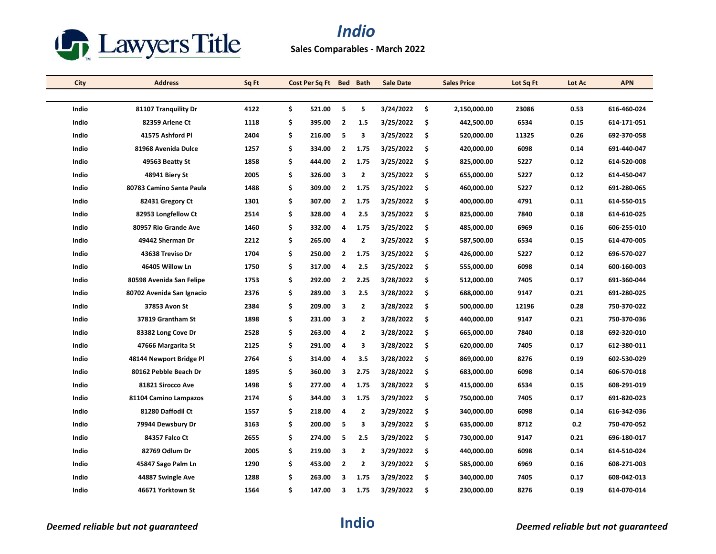

| City  | <b>Address</b>            | Sq Ft | Cost Per Sq Ft Bed Bath |                         |                | <b>Sale Date</b> |     | <b>Sales Price</b> | Lot Sq Ft | Lot Ac | <b>APN</b>  |
|-------|---------------------------|-------|-------------------------|-------------------------|----------------|------------------|-----|--------------------|-----------|--------|-------------|
|       |                           |       |                         |                         |                |                  |     |                    |           |        |             |
| Indio | 81107 Tranquility Dr      | 4122  | \$<br>521.00            | 5                       | 5              | 3/24/2022        | -\$ | 2,150,000.00       | 23086     | 0.53   | 616-460-024 |
| Indio | 82359 Arlene Ct           | 1118  | \$<br>395.00            | $\overline{2}$          | 1.5            | 3/25/2022        | \$  | 442,500.00         | 6534      | 0.15   | 614-171-051 |
| Indio | 41575 Ashford Pl          | 2404  | \$<br>216.00            | 5                       | 3              | 3/25/2022        | -\$ | 520,000.00         | 11325     | 0.26   | 692-370-058 |
| Indio | 81968 Avenida Dulce       | 1257  | \$<br>334.00            | $\overline{2}$          | 1.75           | 3/25/2022        | \$  | 420,000.00         | 6098      | 0.14   | 691-440-047 |
| Indio | 49563 Beatty St           | 1858  | \$<br>444.00            | $\mathbf{2}$            | 1.75           | 3/25/2022        | \$  | 825,000.00         | 5227      | 0.12   | 614-520-008 |
| Indio | 48941 Biery St            | 2005  | \$<br>326.00            | 3                       | $\overline{2}$ | 3/25/2022        | -\$ | 655,000.00         | 5227      | 0.12   | 614-450-047 |
| Indio | 80783 Camino Santa Paula  | 1488  | \$<br>309.00            | $\mathbf{2}$            | 1.75           | 3/25/2022        | \$  | 460,000.00         | 5227      | 0.12   | 691-280-065 |
| Indio | 82431 Gregory Ct          | 1301  | \$<br>307.00            | $\overline{2}$          | 1.75           | 3/25/2022        | \$  | 400,000.00         | 4791      | 0.11   | 614-550-015 |
| Indio | 82953 Longfellow Ct       | 2514  | \$<br>328.00            | 4                       | 2.5            | 3/25/2022        | -\$ | 825,000.00         | 7840      | 0.18   | 614-610-025 |
| Indio | 80957 Rio Grande Ave      | 1460  | \$<br>332.00            | 4                       | 1.75           | 3/25/2022        | \$  | 485,000.00         | 6969      | 0.16   | 606-255-010 |
| Indio | 49442 Sherman Dr          | 2212  | \$<br>265.00            | $\overline{\mathbf{a}}$ | $\overline{2}$ | 3/25/2022        | \$  | 587,500.00         | 6534      | 0.15   | 614-470-005 |
| Indio | 43638 Treviso Dr          | 1704  | \$<br>250.00            | $\overline{2}$          | 1.75           | 3/25/2022        | -\$ | 426,000.00         | 5227      | 0.12   | 696-570-027 |
| Indio | 46405 Willow Ln           | 1750  | \$<br>317.00            | 4                       | 2.5            | 3/25/2022        | \$  | 555,000.00         | 6098      | 0.14   | 600-160-003 |
| Indio | 80598 Avenida San Felipe  | 1753  | \$<br>292.00            | $\overline{2}$          | 2.25           | 3/28/2022        | \$  | 512,000.00         | 7405      | 0.17   | 691-360-044 |
| Indio | 80702 Avenida San Ignacio | 2376  | \$<br>289.00            | 3                       | 2.5            | 3/28/2022        | -\$ | 688,000.00         | 9147      | 0.21   | 691-280-025 |
| Indio | 37853 Avon St             | 2384  | \$<br>209.00            | 3                       | 2              | 3/28/2022        | \$  | 500,000.00         | 12196     | 0.28   | 750-370-022 |
| Indio | 37819 Grantham St         | 1898  | \$<br>231.00            | 3                       | $\mathbf{2}$   | 3/28/2022        | \$  | 440,000.00         | 9147      | 0.21   | 750-370-036 |
| Indio | 83382 Long Cove Dr        | 2528  | \$<br>263.00            | 4                       | $\overline{2}$ | 3/28/2022        | \$  | 665,000.00         | 7840      | 0.18   | 692-320-010 |
| Indio | 47666 Margarita St        | 2125  | \$<br>291.00            | 4                       | 3              | 3/28/2022        | \$  | 620,000.00         | 7405      | 0.17   | 612-380-011 |
| Indio | 48144 Newport Bridge Pl   | 2764  | \$<br>314.00            | 4                       | 3.5            | 3/28/2022        | \$  | 869,000.00         | 8276      | 0.19   | 602-530-029 |
| Indio | 80162 Pebble Beach Dr     | 1895  | \$<br>360.00            | 3                       | 2.75           | 3/28/2022        | -\$ | 683,000.00         | 6098      | 0.14   | 606-570-018 |
| Indio | 81821 Sirocco Ave         | 1498  | \$<br>277.00            | 4                       | 1.75           | 3/28/2022        | \$  | 415,000.00         | 6534      | 0.15   | 608-291-019 |
| Indio | 81104 Camino Lampazos     | 2174  | \$<br>344.00            | 3                       | 1.75           | 3/29/2022        | \$  | 750,000.00         | 7405      | 0.17   | 691-820-023 |
| Indio | 81280 Daffodil Ct         | 1557  | \$<br>218.00            | 4                       | $\overline{2}$ | 3/29/2022        | \$  | 340,000.00         | 6098      | 0.14   | 616-342-036 |
| Indio | 79944 Dewsbury Dr         | 3163  | \$<br>200.00            | 5                       | 3              | 3/29/2022        | \$  | 635,000.00         | 8712      | 0.2    | 750-470-052 |
| Indio | 84357 Falco Ct            | 2655  | \$<br>274.00            | 5                       | 2.5            | 3/29/2022        | \$  | 730,000.00         | 9147      | 0.21   | 696-180-017 |
| Indio | 82769 Odlum Dr            | 2005  | \$<br>219.00            | 3                       | 2              | 3/29/2022        | -\$ | 440,000.00         | 6098      | 0.14   | 614 510 024 |
| Indio | 45847 Sago Palm Ln        | 1290  | \$<br>453.00            | $\overline{2}$          | 2              | 3/29/2022        | \$  | 585,000.00         | 6969      | 0.16   | 608-271-003 |
| Indio | 44887 Swingle Ave         | 1288  | \$<br>263.00            | 3                       | 1.75           | 3/29/2022        | \$  | 340,000.00         | 7405      | 0.17   | 608-042-013 |
| Indio | 46671 Yorktown St         | 1564  | \$<br>147.00            | 3                       | 1.75           | 3/29/2022        | \$  | 230,000.00         | 8276      | 0.19   | 614-070-014 |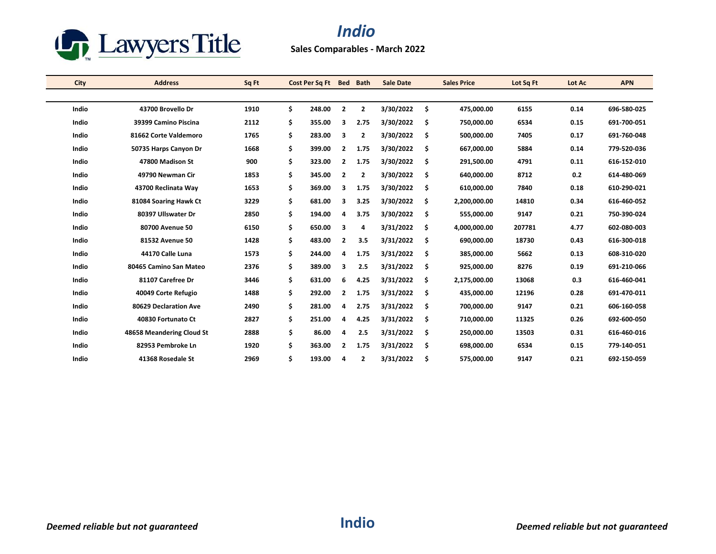

| <b>City</b> | <b>Address</b>            | Sq Ft | Cost Per Sq Ft | <b>Bed</b>     | <b>Bath</b>    | <b>Sale Date</b> | <b>Sales Price</b> | Lot Sq Ft | Lot Ac | <b>APN</b>  |
|-------------|---------------------------|-------|----------------|----------------|----------------|------------------|--------------------|-----------|--------|-------------|
|             |                           |       |                |                |                |                  |                    |           |        |             |
| Indio       | 43700 Brovello Dr         | 1910  | \$<br>248.00   | $\overline{2}$ | $\overline{2}$ | 3/30/2022        | \$<br>475,000.00   | 6155      | 0.14   | 696-580-025 |
| Indio       | 39399 Camino Piscina      | 2112  | \$<br>355.00   | 3              | 2.75           | 3/30/2022        | \$<br>750,000.00   | 6534      | 0.15   | 691-700-051 |
| Indio       | 81662 Corte Valdemoro     | 1765  | \$<br>283.00   | 3              | 2              | 3/30/2022        | \$<br>500,000.00   | 7405      | 0.17   | 691-760-048 |
| Indio       | 50735 Harps Canyon Dr     | 1668  | \$<br>399.00   | $\overline{2}$ | 1.75           | 3/30/2022        | \$<br>667,000.00   | 5884      | 0.14   | 779-520-036 |
| Indio       | 47800 Madison St          | 900   | \$<br>323.00   | $\overline{2}$ | 1.75           | 3/30/2022        | \$<br>291,500.00   | 4791      | 0.11   | 616-152-010 |
| Indio       | 49790 Newman Cir          | 1853  | \$<br>345.00   | $\overline{2}$ | 2              | 3/30/2022        | \$<br>640,000.00   | 8712      | 0.2    | 614-480-069 |
| Indio       | 43700 Reclinata Way       | 1653  | \$<br>369.00   | 3              | 1.75           | 3/30/2022        | \$<br>610,000.00   | 7840      | 0.18   | 610-290-021 |
| Indio       | 81084 Soaring Hawk Ct     | 3229  | \$<br>681.00   | 3              | 3.25           | 3/30/2022        | \$<br>2,200,000.00 | 14810     | 0.34   | 616-460-052 |
| Indio       | 80397 Ullswater Dr        | 2850  | \$<br>194.00   | 4              | 3.75           | 3/30/2022        | \$<br>555,000.00   | 9147      | 0.21   | 750-390-024 |
| Indio       | 80700 Avenue 50           | 6150  | \$<br>650.00   | 3              | 4              | 3/31/2022        | \$<br>4,000,000.00 | 207781    | 4.77   | 602-080-003 |
| Indio       | 81532 Avenue 50           | 1428  | \$<br>483.00   | $\overline{2}$ | 3.5            | 3/31/2022        | \$<br>690,000.00   | 18730     | 0.43   | 616-300-018 |
| Indio       | 44170 Calle Luna          | 1573  | \$<br>244.00   | 4              | 1.75           | 3/31/2022        | \$<br>385,000.00   | 5662      | 0.13   | 608-310-020 |
| Indio       | 80465 Camino San Mateo    | 2376  | \$<br>389.00   | 3              | 2.5            | 3/31/2022        | \$<br>925,000.00   | 8276      | 0.19   | 691-210-066 |
| Indio       | 81107 Carefree Dr         | 3446  | \$<br>631.00   | 6              | 4.25           | 3/31/2022        | \$<br>2,175,000.00 | 13068     | 0.3    | 616-460-041 |
| Indio       | 40049 Corte Refugio       | 1488  | \$<br>292.00   | $\mathbf{2}$   | 1.75           | 3/31/2022        | \$<br>435,000.00   | 12196     | 0.28   | 691 470 011 |
| Indio       | 80629 Declaration Ave     | 2490  | \$<br>281.00   | 4              | 2.75           | 3/31/2022        | \$<br>700,000.00   | 9147      | 0.21   | 606-160-058 |
| Indio       | 40830 Fortunato Ct        | 2827  | \$<br>251.00   | 4              | 4.25           | 3/31/2022        | \$<br>710,000.00   | 11325     | 0.26   | 692-600-050 |
| Indio       | 48658 Meandering Cloud St | 2888  | \$<br>86.00    | 4              | 2.5            | 3/31/2022        | \$<br>250,000.00   | 13503     | 0.31   | 616-460-016 |
| Indio       | 82953 Pembroke Ln         | 1920  | \$<br>363.00   | $\overline{2}$ | 1.75           | 3/31/2022        | \$<br>698,000.00   | 6534      | 0.15   | 779-140-051 |
| Indio       | 41368 Rosedale St         | 2969  | \$<br>193.00   | 4              | $\overline{2}$ | 3/31/2022        | \$<br>575,000.00   | 9147      | 0.21   | 692-150-059 |
|             |                           |       |                |                |                |                  |                    |           |        |             |